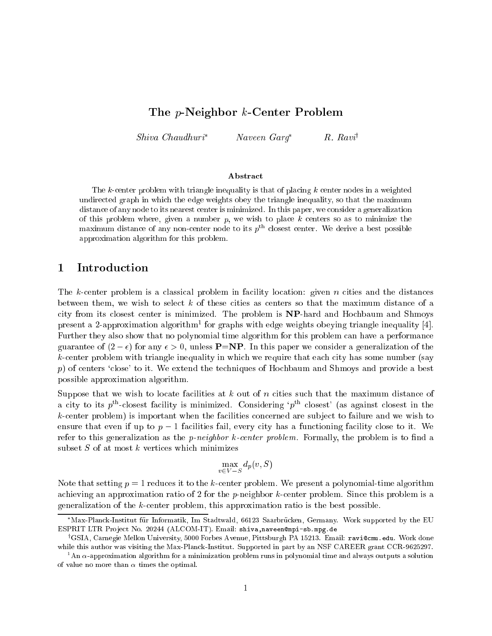# The p-Neighbor k-Center Problem

Shiva Chaudhuri Naveen Garg R. Ravi<sup>y</sup>

### Abstract

The k-center problem with triangle inequality is that of placing <sup>k</sup> center nodes in <sup>a</sup> weighted  $\mathcal{L}$  and the edge in which the edge weights obey the triangle inequality, so that the maximum  $\mathcal{L}$ distance of any node to its nearest center is minimized. In this paper, we consider <sup>a</sup> generalization of this problem where, given <sup>a</sup> number p, we wish to place <sup>k</sup> centers so as to minimize the  $max$ imum distance of any non-center node to its  $p-\text{closes}$  center. We derive a best possible approximation algorithm for this problem.

## Introduction

The k-center problem is a classical problem in facility location: given n cities and the distances between them, we wish to select <sup>k</sup> of these cities as centers so that the maximum distance of a city from its closest center is minimized. The problem is NP-hard and Hochbaum and Shmoys present a 2-approximation algorithm1 for graphs with edge weights obeying triangle inequality [4]. Further they also show that no polynomial time algorithm for this problem can have a performance guarantee of  $(2 - \epsilon)$  for any  $\epsilon > 0$ , unless **P**=**NP**. In this paper we consider a generalization of the k-center problem with triangle inequality in which we require that each city has some number (say p) of centers 'close' to it. We extend the techniques of Hochbaum and Shmoys and provide a best possible approximation algorithm.

Suppose that we wish to locate facilities at  $k$  out of n cities such that the maximum distance of a city to its  $p<sup>th</sup>$ -closest facility is minimized. Considering ' $p<sup>th</sup>$  closest' (as against closest in the  $k$ -center problem) is important when the facilities concerned are subject to failure and we wish to ensure that even if up to  $p-1$  facilities fail, every city has a functioning facility close to it. We refer to this generalization as the *p-neighbor k-center problem*. Formally, the problem is to find a subset  $S$  of at most  $k$  vertices which minimizes

$$
\max_{v \in V - S} d_p(v, S)
$$

Note that setting  $p = 1$  reduces it to the k-center problem. We present a polynomial-time algorithm achieving an approximation ratio of 2 for the *p*-neighbor  $k$ -center problem. Since this problem is a generalization of the k-center problem, this approximation ratio is the best possible.

<sup>\*</sup>Max-Planck-Institut für Informatik, Im Stadtwald, 66123 Saarbrücken, Germany. Work supported by the EU ESPRIT LTR Project No. 20244 (ALCOM-IT). Email: shiva,naveen@mpi-sb.mpg.de

<sup>y</sup> GSIA, Carnegie Mellon University, 5000 Forbes Avenue, Pittsburgh PA 15213. Email: ravi@cmu.edu. Work done while this author was visiting the Max-Planck-Institut. Supported in part by an NSF CAREER grant CCR-9625297.

 $\lceil$  An  $\alpha$ -approximation algorithm for a minimization problem runs in polynomial time and always outputs a solution of value no more than  $\alpha$  times the optimal.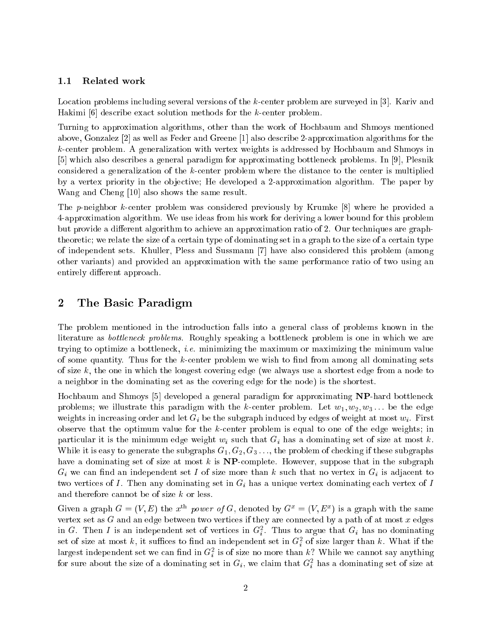## 1.1 Related work

Location problems including several versions of the k-center problem are surveyed in [3]. Kariv and Hakimi [6] describe exact solution methods for the k-center problem.

Turning to approximation algorithms, other than the work of Hochbaum and Shmoys mentioned above, Gonzalez [2] as well as Feder and Greene [1] also describe 2-approximation algorithms for the k-center problem. A generalization with vertex weights is addressed by Hochbaum and Shmoys in [5] which also describes a general paradigm for approximating bottleneck problems. In [9], Plesnik considered a generalization of the k-center problem where the distance to the center is multiplied by a vertex priority in the ob jective; He developed a 2-approximation algorithm. The paper by Wang and Cheng [10] also shows the same result.

The p-neighbor k-center problem was considered previously by Krumke [8] where he provided a 4-approximation algorithm. We use ideas from his work for deriving a lower bound for this problem but provide a different algorithm to achieve an approximation ratio of 2. Our techniques are graphtheoretic; we relate the size of a certain type of dominating set in a graph to the size of a certain type of independent sets. Khuller, Pless and Sussmann [7] have also considered this problem (among other variants) and provided an approximation with the same performance ratio of two using an entirely different approach.

#### 2The Basic Paradigm

The problem mentioned in the introduction falls into a general class of problems known in the literature as *bottleneck problems*. Roughly speaking a bottleneck problem is one in which we are trying to optimize a bottleneck, i.e. minimizing the maximum or maximizing the minimum value of some quantity. Thus for the  $k$ -center problem we wish to find from among all dominating sets of size  $k$ , the one in which the longest covering edge (we always use a shortest edge from a node to a neighbor in the dominating set as the covering edge for the node) is the shortest.

Hochbaum and Shmoys [5] developed a general paradigm for approximating NP-hard bottleneck problems; we illustrate this paradigm with the k-center problem. Let  $w_1, w_2, w_3, ...$  be the edge weights in increasing order and let  $G_i$  be the subgraph induced by edges of weight at most  $w_i$ . First observe that the optimum value for the  $k$ -center problem is equal to one of the edge weights; in particular it is the minimum edge weight  $w_i$  such that  $G_i$  has a dominating set of size at most k. While it is easy to generate the subgraphs  $G_1, G_2, G_3, \ldots$ , the problem of checking if these subgraphs have a dominating set of size at most k is  $NP$ -complete. However, suppose that in the subgraph  $G_i$  we can find an independent set I of size more than k such that no vertex in  $G_i$  is adjacent to two vertices of I. Then any dominating set in  $G_i$  has a unique vertex dominating each vertex of I and therefore cannot be of size <sup>k</sup> or less.

Given a graph  $G = (V, E)$  the  $x \mod p$  power of G, denoted by  $G_x = (V, E_y)$  is a graph with the same vertex set as  $G$  and an edge between two vertices if they are connected by a path of at most  $x$  edges in G. Then I is an independent set of vertices in G<sub>7</sub>. Thus to argue that  $G_i$  has no dominating set of size at most k, it suffices to find an independent set in  $G_i^2$  of size larger than k. What if the largest independent set we can find in  $G_{\bar{i}}^-$  is of size no more than  $\kappa$  : While we cannot say anything for sure about the size of a dominating set in  $G_i,$  we claim that  $G_i^-$  has a dominating set of size at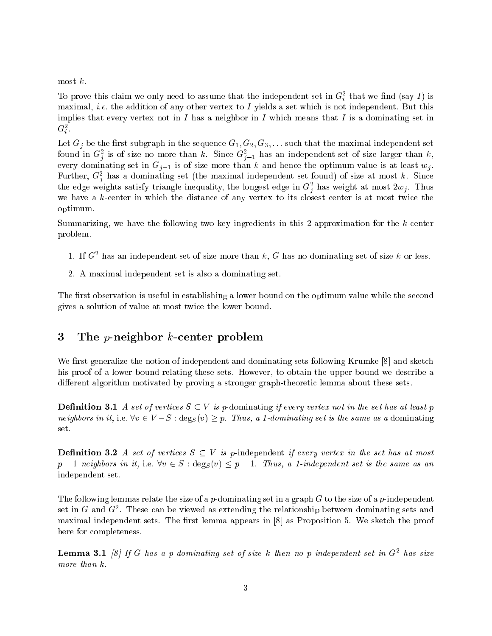most  $k$ .

To prove this claim we only need to assume that the independent set in  $G_i^*$  that we find (say 1) is maximal, *i.e.* the addition of any other vertex to I yields a set which is not independent. But this implies that every vertex not in I has a neighbor in I which means that I is a dominating set in G2 .

Let  $G_j$  be the first subgraph in the sequence  $G_1, G_2, G_3, \ldots$  such that the maximal independent set found in  $G_{\bar{j}}$  is of size no more than  $\kappa$ . Since  $G_{\bar{j}-1}$  has an independent set of size larger than  $\kappa,$ every dominating set in  $G_{j-1}$  is of size more than k and hence the optimum value is at least  $w_j$ . Further,  $G_j$  has a dominating set (the maximal independent set found) of size at most  $\kappa$ . Since the edge weights satisfy triangle inequality, the longest edge in  $G_i^z$  has weight at most  $zw_j$ . Thus we have a  $k$ -center in which the distance of any vertex to its closest center is at most twice the optimum.

Summarizing, we have the following two key ingredients in this 2-approximation for the k-center problem.

- 1. If  $G^2$  has an independent set of size more than  $\kappa$ ,  $G$  has no dominating set of size  $\kappa$  or less.
- 2. A maximal independent set is also a dominating set.

The first observation is useful in establishing a lower bound on the optimum value while the second gives a solution of value at most twice the lower bound.

#### 3The *p*-neighbor *k*-center problem

We first generalize the notion of independent and dominating sets following Krumke  $[8]$  and sketch his proof of a lower bound relating these sets. However, to obtain the upper bound we describe a different algorithm motivated by proving a stronger graph-theoretic lemma about these sets.

**Definition 3.1** A set of vertices  $S \subseteq V$  is p-dominating if every vertex not in the set has at least p neighbors in it, i.e.  $\forall v \in V - S : \text{deg}_S(v) \geq p$ . Thus, a 1-dominating set is the same as a dominating set.

**Definition 3.2** A set of vertices  $S \subseteq V$  is p-independent if every vertex in the set has at most  $p-1$  neighbors in it, i.e.  $\forall v \in S : \text{deg}_S(v) \leq p-1$ . Thus, a 1-independent set is the same as an independent set.

The following lemmas relate the size of a p-dominating set in a graph  $G$  to the size of a p-independent set in  $G$  and  $G^-.$  These can be viewed as extending the relationship between dominating sets and maximal independent sets. The first lemma appears in  $[8]$  as Proposition 5. We sketch the proof here for completeness.

**Lemma 3.1** [8] If G has a p-aominating set of size  $\kappa$  then no p-independent set in G<sup>-</sup> has size more than k.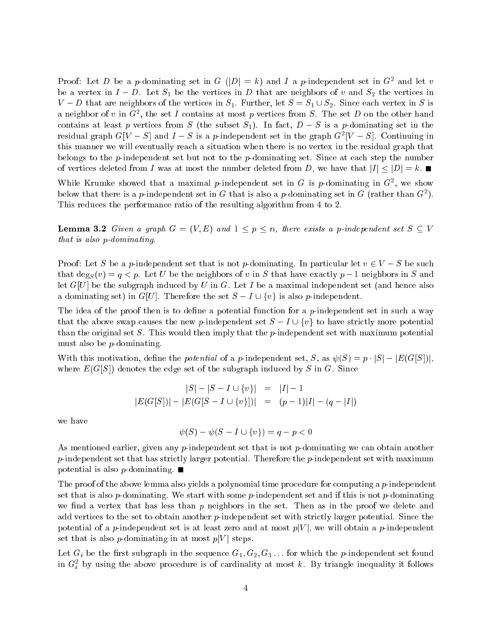Proof: Let  $D$  be a  $p$ -dominating set in G  $\{|D| = \kappa\}$  and I a  $p$ -independent set in G<sup>2</sup> and let  $v$ be a vertex in  $I - D$ . Let  $S_1$  be the vertices in D that are neighbors of v and  $S_2$  the vertices in  $V - D$  that are neighbors of the vertices in  $S_1$ . Further, let  $S = S_1 \cup S_2$ . Since each vertex in S is a neighbor of  $v$  in  $G^*$ , the set I contains at most  $p$  vertices from  $S$ . The set  $D$  on the other hand contains at least p vertices from S (the subset  $S_1$ ). In fact,  $D-S$  is a p-dominating set in the residual graph  $G[V - S]$  and  $I - S$  is a  $p$ -independent set in the graph  $G^{\ast}[V - S]$ . Continuing in this manner we will eventually reach a situation when there is no vertex in the residual graph that belongs to the  $p$ -independent set but not to the  $p$ -dominating set. Since at each step the number of vertices deleted from I was at most the number deleted from D, we have that  $|I| \leq |D| = k$ .

while Krumke showed that a maximal  $p$ -independent set in G is  $p$ -dominating in G<sup>-</sup>, we show below that there is a p-independent set in G that is also a p-dominating set in G (rather than G<sup>-</sup>). This reduces the performance ratio of the resulting algorithm from 4 to 2.

**Lemma 3.2** Given a graph  $G = (V, E)$  and  $1 \leq p \leq n$ , there exists a p-independent set  $S \subseteq V$ that is also p-dominating.

Proof: Let S be a p-independent set that is not p-dominating. In particular let  $v \in V - S$  be such that deg<sub>S</sub> $(v) = q \leq p$ . Let U be the neighbors of v in S that have exactly  $p-1$  neighbors in S and let  $G[U]$  be the subgraph induced by U in G. Let I be a maximal independent set (and hence also a dominating set) in G[U]. Therefore the set  $S - I \cup \{v\}$  is also p-independent.

The idea of the proof then is to define a potential function for a  $p$ -independent set in such a way that the above swap causes the new p-independent set  $S - I \cup \{v\}$  to have strictly more potential than the original set S. This would then imply that the  $p$ -independent set with maximum potential must also be p-dominating.

With this motivation, define the *potential* of a p-independent set, S, as  $\psi(S) = p \cdot |S| - |E(G[S])|$ . where  $E(G[S])$  denotes the edge set of the subgraph induced by S in G. Since

$$
|S| - |S - I \cup \{v\}| = |I| - 1
$$
  

$$
|E(G[S])| - |E(G[S - I \cup \{v\}])| = (p - 1)|I| - (q - |I|)
$$

we have

$$
\psi(S) - \psi(S - I \cup \{v\}) = q - p < 0
$$

As mentioned earlier, given any  $p$ -independent set that is not  $p$ -dominating we can obtain another  $p$ -independent set that has strictly larger potential. Therefore the  $p$ -independent set with maximum potential is also  $p$ -dominating.  $\blacksquare$ 

The proof of the above lemma also yields a polynomial time procedure for computing a  $p$ -independent set that is also p-dominating. We start with some p-independent set and if this is not p-dominating we find a vertex that has less than  $p$  neighbors in the set. Then as in the proof we delete and add vertices to the set to obtain another p-independent set with strictly larger potential. Since the potential of a p-independent set is at least zero and at most  $p|V|$ , we will obtain a p-independent set that is also *p*-dominating in at most  $p|V|$  steps.

Let  $G_i$  be the first subgraph in the sequence  $G_1, G_2, G_3, \ldots$  for which the p-independent set found in  $G_i^-$  by using the above procedure is of cardinality at most  $\kappa$ . By triangle inequality it follows